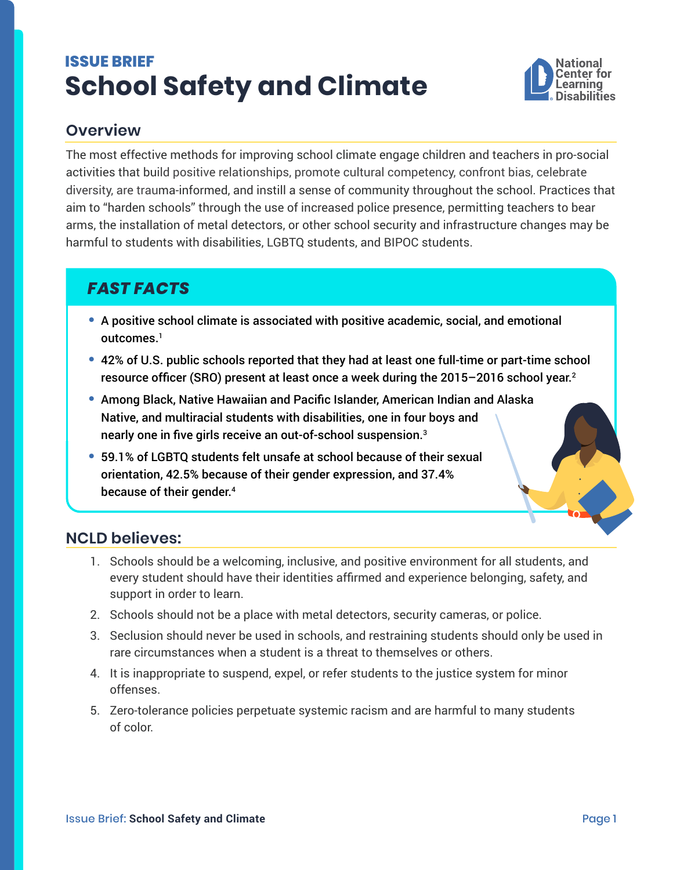# <span id="page-0-0"></span>**ISSUE BRIEF School Safety and Climate**



## **Overview**

The most effective methods for improving school climate engage children and teachers in pro-social activities that build positive relationships, promote cultural competency, confront bias, celebrate diversity, are trauma-informed, and instill a sense of community throughout the school. Practices that aim to "harden schools" through the use of increased police presence, permitting teachers to bear arms, the installation of metal detectors, or other school security and infrastructure changes may be harmful to students with disabilities, LGBTQ students, and BIPOC students.

## *FAST FACTS*

- **•** A positive school climate is associated with positive academic, social, and emotional outcomes.<sup>1</sup>
- **•** 42% of U.S. public schools reported that they had at least one full-time or part-time school resource officer (SRO) present at least once a week during the 2015–2016 school year. [2](#page-1-0)
- **•** Among Black, Native Hawaiian and Pacific Islander, American Indian and Alaska Native, and multiracial students with disabilities, one in four boys and nearly one in five girls receive an out-of-school suspension.[3](#page-1-0)
- **•** 59.1% of LGBTQ students felt unsafe at school because of their sexual orientation, 42.5% because of their gender expression, and 37.4% because of their gender.[4](#page-1-0)

### **NCLD believes:**

- 1. Schools should be a welcoming, inclusive, and positive environment for all students, and every student should have their identities affirmed and experience belonging, safety, and support in order to learn.
- 2. Schools should not be a place with metal detectors, security cameras, or police.
- 3. Seclusion should never be used in schools, and restraining students should only be used in rare circumstances when a student is a threat to themselves or others.
- 4. It is inappropriate to suspend, expel, or refer students to the justice system for minor offenses.
- 5. Zero-tolerance policies perpetuate systemic racism and are harmful to many students of color.